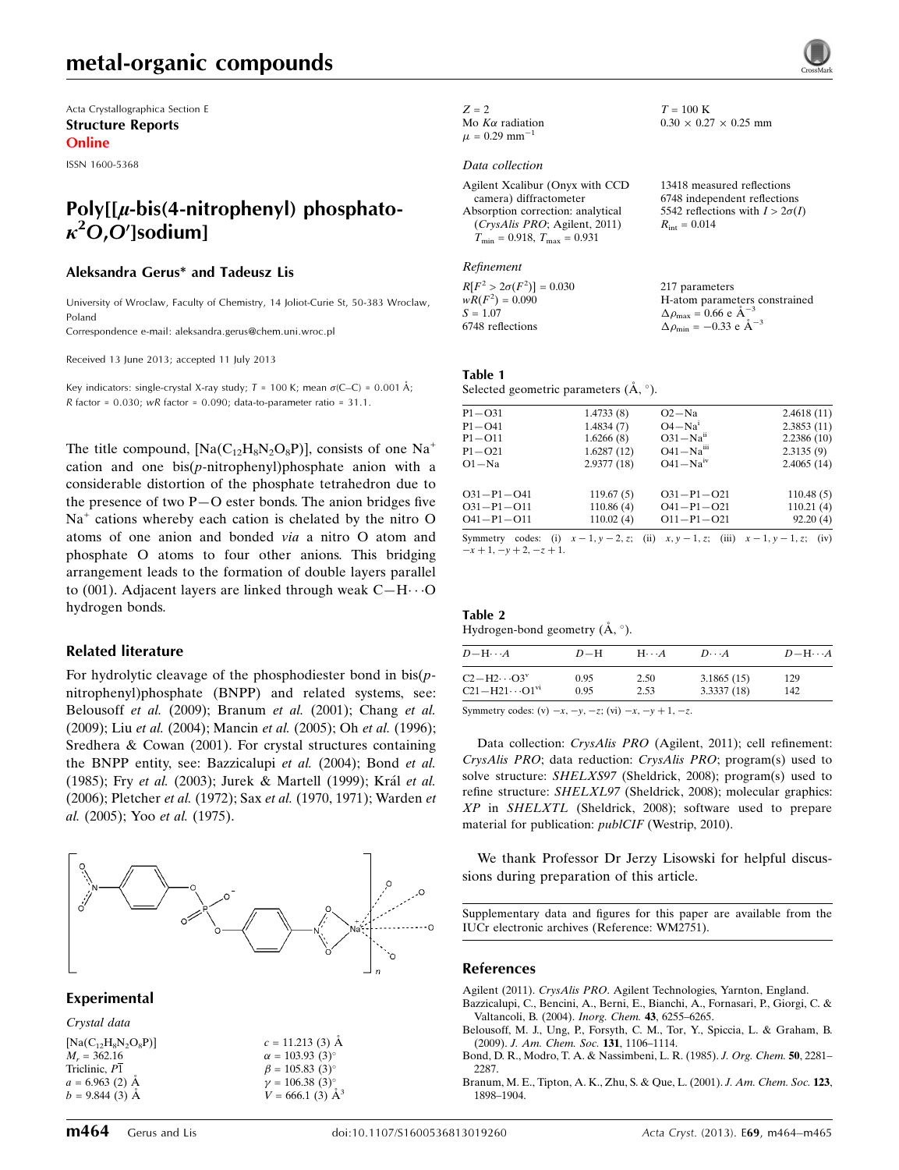Acta Crystallographica Section E Structure Reports Online

ISSN 1600-5368

# Poly $[[\mu\text{-}\mathrm{bis}(4\text{-}\mathrm{nitrophenyl})]$  phosphato- $\kappa^2$ O,O']sodium]

#### Aleksandra Gerus\* and Tadeusz Lis

University of Wroclaw, Faculty of Chemistry, 14 Joliot-Curie St, 50-383 Wroclaw, Poland

Correspondence e-mail: [aleksandra.gerus@chem.uni.wroc.pl](https://scripts.iucr.org/cgi-bin/cr.cgi?rm=pdfbb&cnor=wm2751&bbid=BB20)

Received 13 June 2013; accepted 11 July 2013

Key indicators: single-crystal X-ray study;  $T = 100$  K; mean  $\sigma$ (C–C) = 0.001 Å; R factor =  $0.030$ ; wR factor =  $0.090$ ; data-to-parameter ratio =  $31.1$ .

The title compound,  $[Na(C_{12}H_8N_2O_8P)]$ , consists of one Na<sup>+</sup> cation and one  $bis(p\text{-nitrophenyl})\text{phosphate anion with a}$ considerable distortion of the phosphate tetrahedron due to the presence of two P—O ester bonds. The anion bridges five  $Na<sup>+</sup>$  cations whereby each cation is chelated by the nitro O atoms of one anion and bonded via a nitro O atom and phosphate O atoms to four other anions. This bridging arrangement leads to the formation of double layers parallel to (001). Adjacent layers are linked through weak  $C-H\cdots O$ hydrogen bonds.

#### Related literature

For hydrolytic cleavage of the phosphodiester bond in  $bis(p$ nitrophenyl)phosphate (BNPP) and related systems, see: Belousoff et al. (2009); Branum et al. (2001); Chang et al. (2009); Liu et al. (2004); Mancin et al. (2005); Oh et al. (1996); Sredhera & Cowan (2001). For crystal structures containing the BNPP entity, see: Bazzicalupi et al. (2004); Bond et al. (1985); Fry et al. (2003); Jurek & Martell (1999); Král et al. (2006); Pletcher et al. (1972); Sax et al. (1970, 1971); Warden et al. (2005); Yoo et al. (1975).



Experimental

| Crystal data             |                                   |
|--------------------------|-----------------------------------|
| $[Na(C_{12}H_8N_2O_8P)]$ | $c = 11.213$ (3) Å                |
| $M_r = 362.16$           | $\alpha = 103.93(3)^{\circ}$      |
| Triclinic, P1            | $\beta = 105.83$ (3) <sup>o</sup> |
| $a = 6.963$ (2) Å        | $\gamma=106.38~(3)^\circ$         |
| $b = 9.844(3)$ Å         | $V = 666.1$ (3) $\AA^3$           |
|                          |                                   |

 $Z = 2$ Mo  $K\alpha$  radiation  $\mu = 0.29$  mm<sup>-1</sup>

#### Data collection

| Agilent Xcalibur (Onyx with CCD                  |  |
|--------------------------------------------------|--|
| camera) diffractometer                           |  |
| Absorption correction: analytical                |  |
| (CrysAlis PRO; Agilent, 2011)                    |  |
| $T_{\text{min}} = 0.918, T_{\text{max}} = 0.931$ |  |

#### Refinement

 $R[F^2 > 2\sigma(F^2)] = 0.030$  $wR(F^2) = 0.090$  $S = 1.07$ 6748 reflections 217 parameters H-atom parameters constrained  $\Delta \rho_{\text{max}} = 0.66 \text{ e A}^{-3}$  $\Delta \rho_{\rm min} = -0.33 \text{ e } \text{\AA}^{-3}$ 

 $T=100~\mathrm{K}$ 

 $R_{\rm int} = 0.014$ 

 $0.30 \times 0.27 \times 0.25$  mm

13418 measured reflections 6748 independent reflections 5542 reflections with  $I > 2\sigma(I)$ 

#### Table 1

Selected geometric parameters  $(\mathring{A}, \degree)$ .

| P1-031           | 1.4733(8)  | $O2-Na$                                                                                  | 2.4618(11) |
|------------------|------------|------------------------------------------------------------------------------------------|------------|
| $P1 - O41$       | 1.4834(7)  | $O4-Na^1$                                                                                | 2.3853(11) |
| P1-O11           | 1.6266(8)  | $O31 - Naii$                                                                             | 2.2386(10) |
| $P1 - Q21$       | 1.6287(12) | $O41 - Naiii$                                                                            | 2.3135(9)  |
| O1−Na            | 2.9377(18) | $O41 - Naiv$                                                                             | 2.4065(14) |
| O31-P1-O41       | 119.67(5)  | $O31 - P1 - O21$                                                                         | 110.48(5)  |
| $O31 - P1 - O11$ | 110.86(4)  | $O41 - P1 - O21$                                                                         | 110.21(4)  |
| O41-P1-O11       | 110.02(4)  | $O11 - P1 - O21$                                                                         | 92.20(4)   |
|                  |            | Symmetry codes: (i) $x = 1$ $y = 2$ z; (ii) $x - y = 1$ z; (iii) $x = 1$ $y = 1$ z; (iv) |            |

 $x: 1, z;$  (iii)  $x - 1, y - 1, z;$  (iv)  $-x + 1, -y + 2, -z + 1.$ 

#### Table 2 Hydrogen-bond geometry  $(A, \degree)$ .

| $D - H \cdots A$           | $D-H$ | $H\cdots A$ | $D\cdots A$ | $D - H \cdots A$ |
|----------------------------|-------|-------------|-------------|------------------|
| $C2-H2\cdots O3^V$         | 0.95  | 2.50        | 3.1865(15)  | 129              |
| $C21 - H21 \cdots 01^{vi}$ | 0.95  | 2.53        | 3.3337(18)  | 142              |

Symmetry codes: (v)  $-x$ ,  $-y$ ,  $-z$ ; (vi)  $-x$ ,  $-y$  + 1,  $-z$ .

Data collection: CrysAlis PRO (Agilent, 2011); cell refinement: CrysAlis PRO; data reduction: CrysAlis PRO; program(s) used to solve structure: SHELXS97 (Sheldrick, 2008); program(s) used to refine structure: SHELXL97 (Sheldrick, 2008); molecular graphics: XP in SHELXTL (Sheldrick, 2008); software used to prepare material for publication: publCIF (Westrip, 2010).

We thank Professor Dr Jerzy Lisowski for helpful discussions during preparation of this article.

Supplementary data and figures for this paper are available from the IUCr electronic archives (Reference: WM2751).

#### References

Agilent (2011). CrysAlis PRO[. Agilent Technologies, Yarnton, England.](https://scripts.iucr.org/cgi-bin/cr.cgi?rm=pdfbb&cnor=wm2751&bbid=BB1)

- [Bazzicalupi, C., Bencini, A., Berni, E., Bianchi, A., Fornasari, P., Giorgi, C. &](https://scripts.iucr.org/cgi-bin/cr.cgi?rm=pdfbb&cnor=wm2751&bbid=BB2) [Valtancoli, B. \(2004\).](https://scripts.iucr.org/cgi-bin/cr.cgi?rm=pdfbb&cnor=wm2751&bbid=BB2) Inorg. Chem. 43, 6255–6265.
- [Belousoff, M. J., Ung, P., Forsyth, C. M., Tor, Y., Spiccia, L. & Graham, B.](https://scripts.iucr.org/cgi-bin/cr.cgi?rm=pdfbb&cnor=wm2751&bbid=BB3) (2009). [J. Am. Chem. Soc.](https://scripts.iucr.org/cgi-bin/cr.cgi?rm=pdfbb&cnor=wm2751&bbid=BB3) 131, 1106–1114.

[Bond, D. R., Modro, T. A. & Nassimbeni, L. R. \(1985\).](https://scripts.iucr.org/cgi-bin/cr.cgi?rm=pdfbb&cnor=wm2751&bbid=BB4) J. Org. Chem. 50, 2281– 2287

[Branum, M. E., Tipton, A. K., Zhu, S. & Que, L. \(2001\).](https://scripts.iucr.org/cgi-bin/cr.cgi?rm=pdfbb&cnor=wm2751&bbid=BB5) J. Am. Chem. Soc. 123, [1898–1904.](https://scripts.iucr.org/cgi-bin/cr.cgi?rm=pdfbb&cnor=wm2751&bbid=BB5)

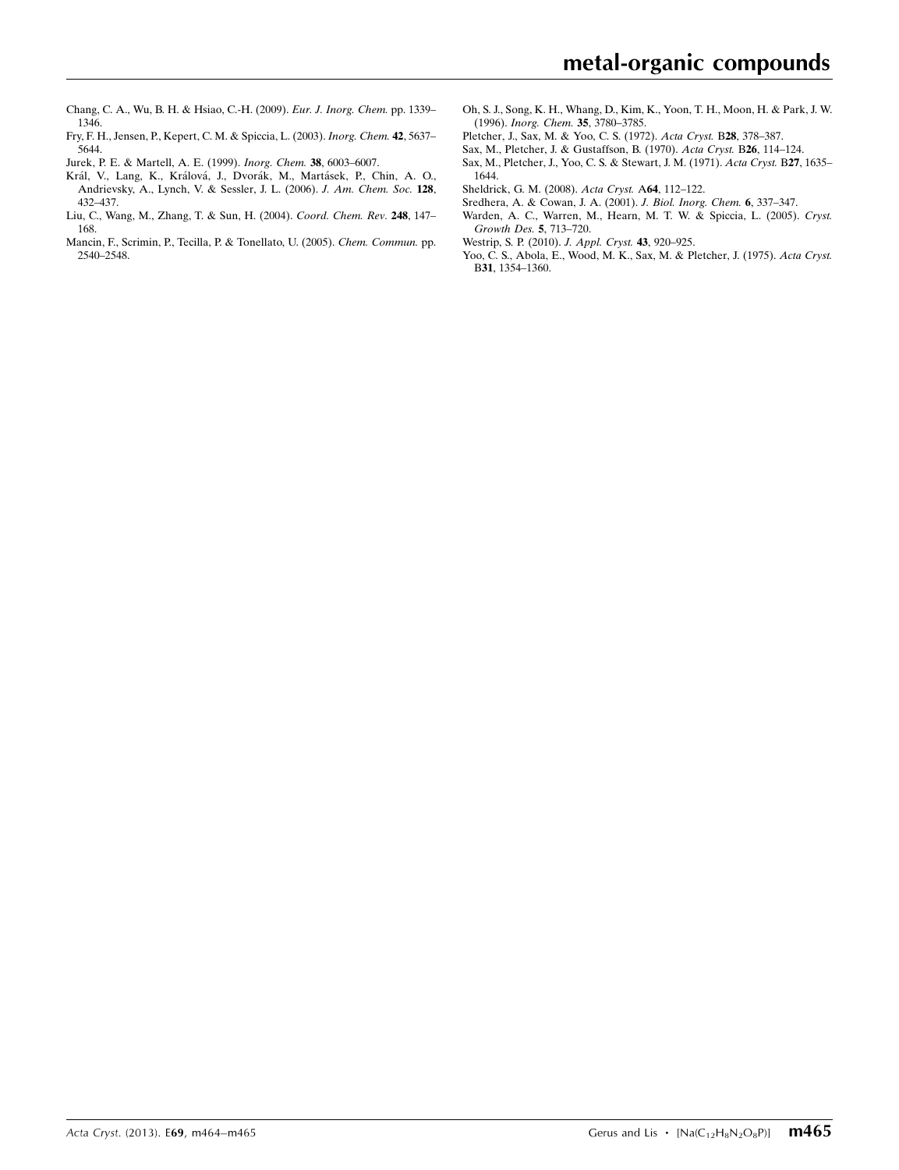- [Chang, C. A., Wu, B. H. & Hsiao, C.-H. \(2009\).](https://scripts.iucr.org/cgi-bin/cr.cgi?rm=pdfbb&cnor=wm2751&bbid=BB6) Eur. J. Inorg. Chem. pp. 1339– [1346.](https://scripts.iucr.org/cgi-bin/cr.cgi?rm=pdfbb&cnor=wm2751&bbid=BB6)
- [Fry, F. H., Jensen, P., Kepert, C. M. & Spiccia, L. \(2003\).](https://scripts.iucr.org/cgi-bin/cr.cgi?rm=pdfbb&cnor=wm2751&bbid=BB7) Inorg. Chem. 42, 5637– [5644.](https://scripts.iucr.org/cgi-bin/cr.cgi?rm=pdfbb&cnor=wm2751&bbid=BB7)
- [Jurek, P. E. & Martell, A. E. \(1999\).](https://scripts.iucr.org/cgi-bin/cr.cgi?rm=pdfbb&cnor=wm2751&bbid=BB8) Inorg. Chem. 38, 6003–6007.
- Král, V., Lang, K., Králová, J., Dvorák, M., Martásek, P., Chin, A. O., [Andrievsky, A., Lynch, V. & Sessler, J. L. \(2006\).](https://scripts.iucr.org/cgi-bin/cr.cgi?rm=pdfbb&cnor=wm2751&bbid=BB9) J. Am. Chem. Soc. 128, [432–437.](https://scripts.iucr.org/cgi-bin/cr.cgi?rm=pdfbb&cnor=wm2751&bbid=BB9)
- [Liu, C., Wang, M., Zhang, T. & Sun, H. \(2004\).](https://scripts.iucr.org/cgi-bin/cr.cgi?rm=pdfbb&cnor=wm2751&bbid=BB10) Coord. Chem. Rev. 248, 147– [168.](https://scripts.iucr.org/cgi-bin/cr.cgi?rm=pdfbb&cnor=wm2751&bbid=BB10)
- [Mancin, F., Scrimin, P., Tecilla, P. & Tonellato, U. \(2005\).](https://scripts.iucr.org/cgi-bin/cr.cgi?rm=pdfbb&cnor=wm2751&bbid=BB11) Chem. Commun. pp. [2540–2548.](https://scripts.iucr.org/cgi-bin/cr.cgi?rm=pdfbb&cnor=wm2751&bbid=BB11)
- [Oh, S. J., Song, K. H., Whang, D., Kim, K., Yoon, T. H., Moon, H. & Park, J. W.](https://scripts.iucr.org/cgi-bin/cr.cgi?rm=pdfbb&cnor=wm2751&bbid=BB12) (1996). [Inorg. Chem.](https://scripts.iucr.org/cgi-bin/cr.cgi?rm=pdfbb&cnor=wm2751&bbid=BB12) 35, 3780–3785.
- [Pletcher, J., Sax, M. & Yoo, C. S. \(1972\).](https://scripts.iucr.org/cgi-bin/cr.cgi?rm=pdfbb&cnor=wm2751&bbid=BB13) Acta Cryst. B28, 378–387.
- [Sax, M., Pletcher, J. & Gustaffson, B. \(1970\).](https://scripts.iucr.org/cgi-bin/cr.cgi?rm=pdfbb&cnor=wm2751&bbid=BB14) Acta Cryst. B26, 114–124.
- [Sax, M., Pletcher, J., Yoo, C. S. & Stewart, J. M. \(1971\).](https://scripts.iucr.org/cgi-bin/cr.cgi?rm=pdfbb&cnor=wm2751&bbid=BB15) Acta Cryst. B27, 1635– [1644.](https://scripts.iucr.org/cgi-bin/cr.cgi?rm=pdfbb&cnor=wm2751&bbid=BB15)
- [Sheldrick, G. M. \(2008\).](https://scripts.iucr.org/cgi-bin/cr.cgi?rm=pdfbb&cnor=wm2751&bbid=BB16) Acta Cryst. A64, 112–122.
- [Sredhera, A. & Cowan, J. A. \(2001\).](https://scripts.iucr.org/cgi-bin/cr.cgi?rm=pdfbb&cnor=wm2751&bbid=BB17) J. Biol. Inorg. Chem. 6, 337–347.
- [Warden, A. C., Warren, M., Hearn, M. T. W. & Spiccia, L. \(2005\).](https://scripts.iucr.org/cgi-bin/cr.cgi?rm=pdfbb&cnor=wm2751&bbid=BB18) Cryst. [Growth Des.](https://scripts.iucr.org/cgi-bin/cr.cgi?rm=pdfbb&cnor=wm2751&bbid=BB18) 5, 713–720.
- [Westrip, S. P. \(2010\).](https://scripts.iucr.org/cgi-bin/cr.cgi?rm=pdfbb&cnor=wm2751&bbid=BB19) J. Appl. Cryst. 43, 920–925.
- [Yoo, C. S., Abola, E., Wood, M. K., Sax, M. & Pletcher, J. \(1975\).](https://scripts.iucr.org/cgi-bin/cr.cgi?rm=pdfbb&cnor=wm2751&bbid=BB20) Acta Cryst. B31[, 1354–1360.](https://scripts.iucr.org/cgi-bin/cr.cgi?rm=pdfbb&cnor=wm2751&bbid=BB20)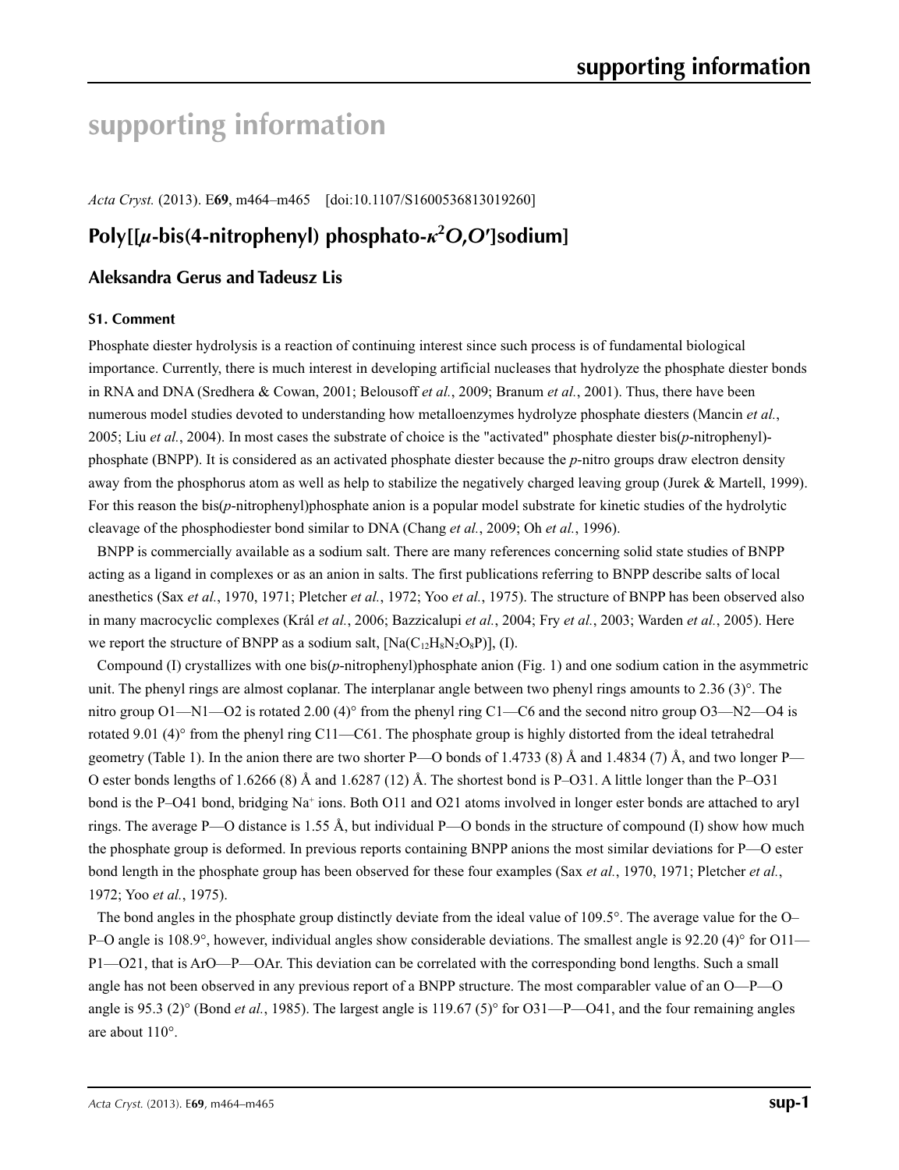# **supporting information**

*Acta Cryst.* (2013). E**69**, m464–m465 [doi:10.1107/S1600536813019260]

# **Poly[[***µ***-bis(4-nitrophenyl) phosphato-***κ***<sup>2</sup>** *O***,***O***′]sodium]**

## **Aleksandra Gerus and Tadeusz Lis**

#### **S1. Comment**

Phosphate diester hydrolysis is a reaction of continuing interest since such process is of fundamental biological importance. Currently, there is much interest in developing artificial nucleases that hydrolyze the phosphate diester bonds in RNA and DNA (Sredhera & Cowan, 2001; Belousoff *et al.*, 2009; Branum *et al.*, 2001). Thus, there have been numerous model studies devoted to understanding how metalloenzymes hydrolyze phosphate diesters (Mancin *et al.*, 2005; Liu *et al.*, 2004). In most cases the substrate of choice is the "activated" phosphate diester bis(*p*-nitrophenyl) phosphate (BNPP). It is considered as an activated phosphate diester because the *p*-nitro groups draw electron density away from the phosphorus atom as well as help to stabilize the negatively charged leaving group (Jurek & Martell, 1999). For this reason the bis(*p*-nitrophenyl)phosphate anion is a popular model substrate for kinetic studies of the hydrolytic cleavage of the phosphodiester bond similar to DNA (Chang *et al.*, 2009; Oh *et al.*, 1996).

BNPP is commercially available as a sodium salt. There are many references concerning solid state studies of BNPP acting as a ligand in complexes or as an anion in salts. The first publications referring to BNPP describe salts of local anesthetics (Sax *et al.*, 1970, 1971; Pletcher *et al.*, 1972; Yoo *et al.*, 1975). The structure of BNPP has been observed also in many macrocyclic complexes (Král *et al.*, 2006; Bazzicalupi *et al.*, 2004; Fry *et al.*, 2003; Warden *et al.*, 2005). Here we report the structure of BNPP as a sodium salt,  $[Na(C_{12}H_8N_2O_8P)]$ , (I).

Compound (I) crystallizes with one bis(*p*-nitrophenyl)phosphate anion (Fig. 1) and one sodium cation in the asymmetric unit. The phenyl rings are almost coplanar. The interplanar angle between two phenyl rings amounts to 2.36 (3)°. The nitro group  $O1 - N1 - O2$  is rotated 2.00 (4)° from the phenyl ring C1—C6 and the second nitro group  $O3 - N2 - O4$  is rotated 9.01 (4)° from the phenyl ring C11—C61. The phosphate group is highly distorted from the ideal tetrahedral geometry (Table 1). In the anion there are two shorter P—O bonds of 1.4733 (8) Å and 1.4834 (7) Å, and two longer P— O ester bonds lengths of 1.6266 (8) Å and 1.6287 (12) Å. The shortest bond is P–O31. A little longer than the P–O31 bond is the P–O41 bond, bridging Na<sup>+</sup> ions. Both O11 and O21 atoms involved in longer ester bonds are attached to aryl rings. The average P—O distance is 1.55 Å, but individual P—O bonds in the structure of compound (I) show how much the phosphate group is deformed. In previous reports containing BNPP anions the most similar deviations for P—O ester bond length in the phosphate group has been observed for these four examples (Sax *et al.*, 1970, 1971; Pletcher *et al.*, 1972; Yoo *et al.*, 1975).

The bond angles in the phosphate group distinctly deviate from the ideal value of 109.5°. The average value for the O– P–O angle is 108.9°, however, individual angles show considerable deviations. The smallest angle is 92.20 (4)° for O11— P1—O21, that is ArO—P—OAr. This deviation can be correlated with the corresponding bond lengths. Such a small angle has not been observed in any previous report of a BNPP structure. The most comparabler value of an O—P—O angle is 95.3 (2)° (Bond *et al.*, 1985). The largest angle is 119.67 (5)° for O31—P—O41, and the four remaining angles are about 110°.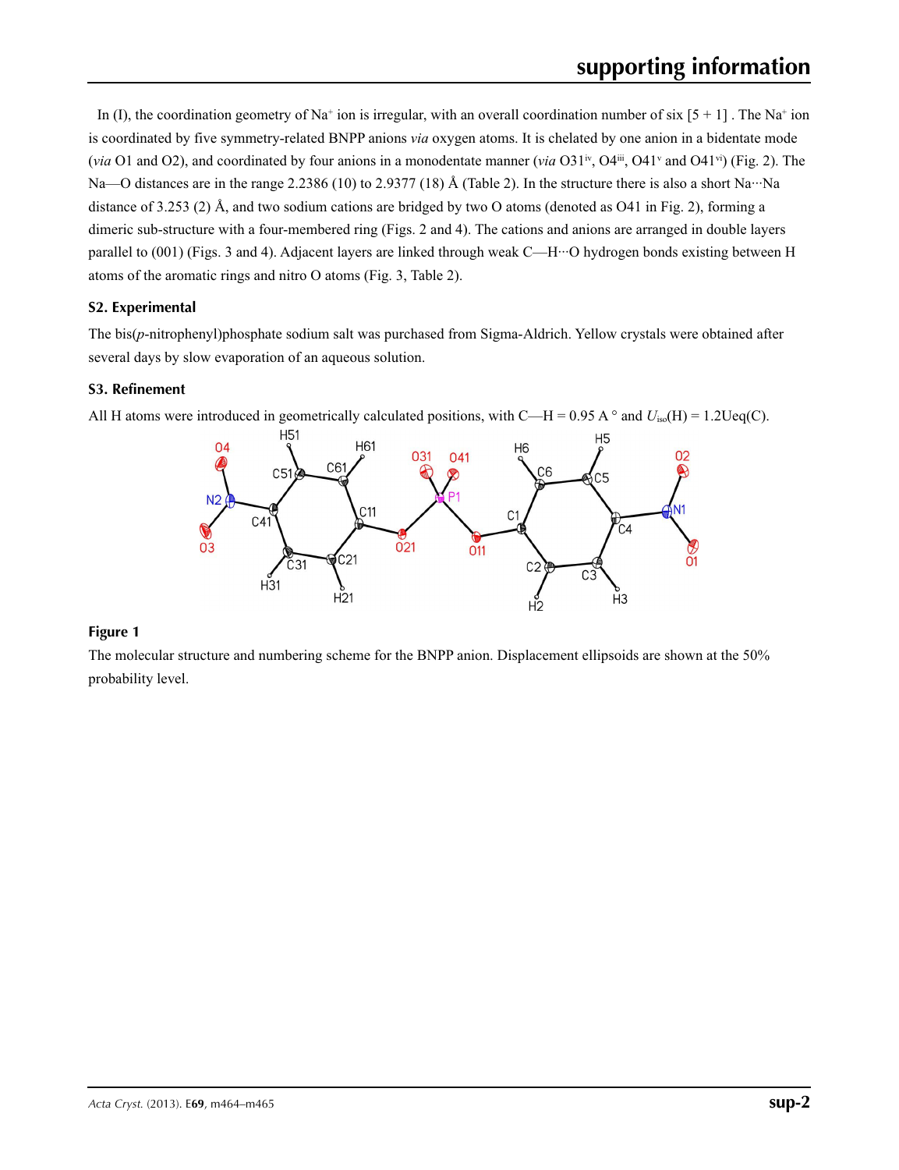In (I), the coordination geometry of Na<sup>+</sup> ion is irregular, with an overall coordination number of six  $[5 + 1]$ . The Na<sup>+</sup> ion is coordinated by five symmetry-related BNPP anions *via* oxygen atoms. It is chelated by one anion in a bidentate mode (*via* O1 and O2), and coordinated by four anions in a monodentate manner (*via* O31<sup>iv</sup>, O4<sup>1ii</sup>, O4<sup>1i</sup> and O41<sup>vi</sup>) (Fig. 2). The Na—O distances are in the range 2.2386 (10) to 2.9377 (18) Å (Table 2). In the structure there is also a short Na…Na distance of 3.253 (2) Å, and two sodium cations are bridged by two O atoms (denoted as O41 in Fig. 2), forming a dimeric sub-structure with a four-membered ring (Figs. 2 and 4). The cations and anions are arranged in double layers parallel to (001) (Figs. 3 and 4). Adjacent layers are linked through weak C—H···O hydrogen bonds existing between H atoms of the aromatic rings and nitro O atoms (Fig. 3, Table 2).

## **S2. Experimental**

The bis(*p*-nitrophenyl)phosphate sodium salt was purchased from Sigma-Aldrich. Yellow crystals were obtained after several days by slow evaporation of an aqueous solution.

## **S3. Refinement**



All H atoms were introduced in geometrically calculated positions, with C—H = 0.95 A  $\circ$  and  $U_{iso}(H) = 1.2 \text{Ueq}(C)$ .

#### **Figure 1**

The molecular structure and numbering scheme for the BNPP anion. Displacement ellipsoids are shown at the 50% probability level.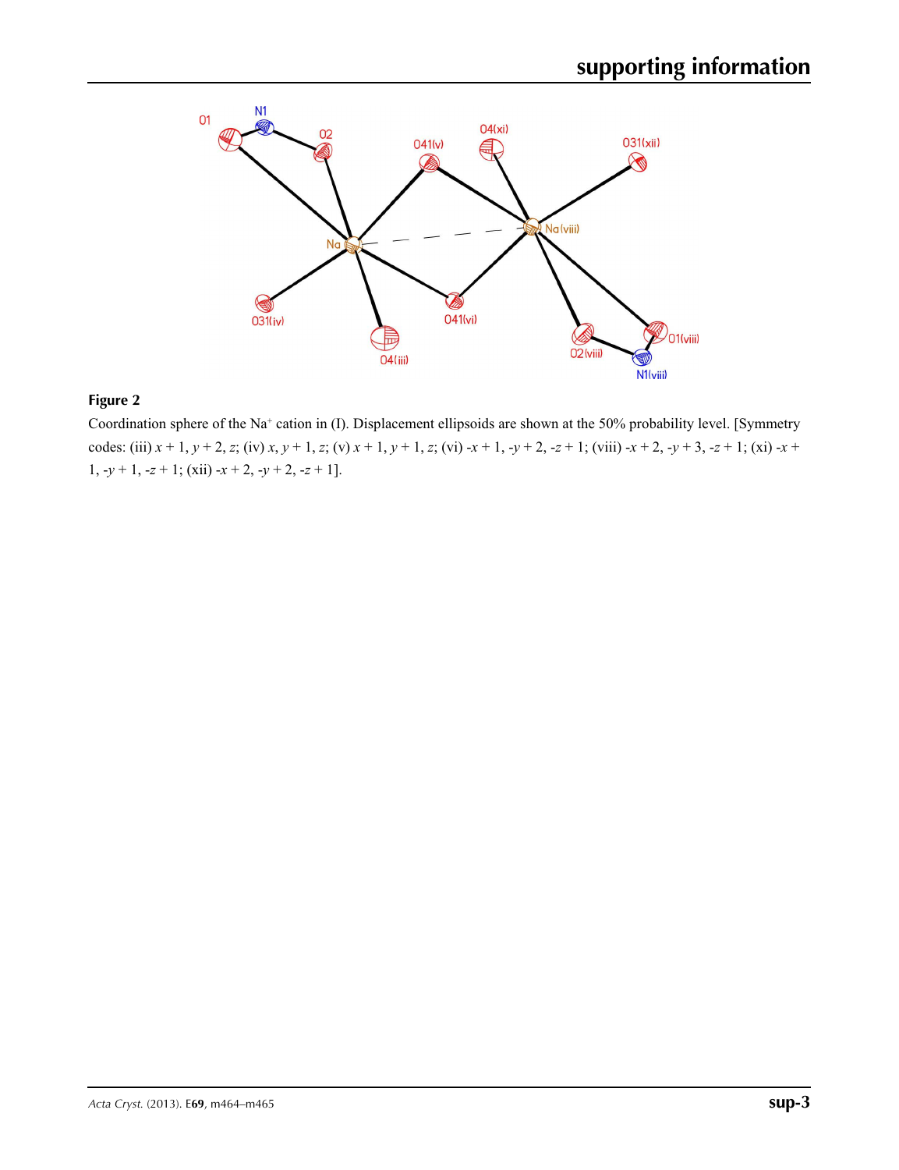

# **Figure 2**

Coordination sphere of the Na<sup>+</sup> cation in (I). Displacement ellipsoids are shown at the 50% probability level. [Symmetry codes: (iii)  $x + 1$ ,  $y + 2$ , z; (iv)  $x$ ,  $y + 1$ , z; (v)  $x + 1$ ,  $y + 1$ , z; (vi)  $-x + 1$ ,  $-y + 2$ ,  $-z + 1$ ; (viii)  $-x + 2$ ,  $-y + 3$ ,  $-z + 1$ ; (xi)  $-x + 1$ 1, -*y* + 1, -*z* + 1; (xii) -*x* + 2, -*y* + 2, -*z* + 1].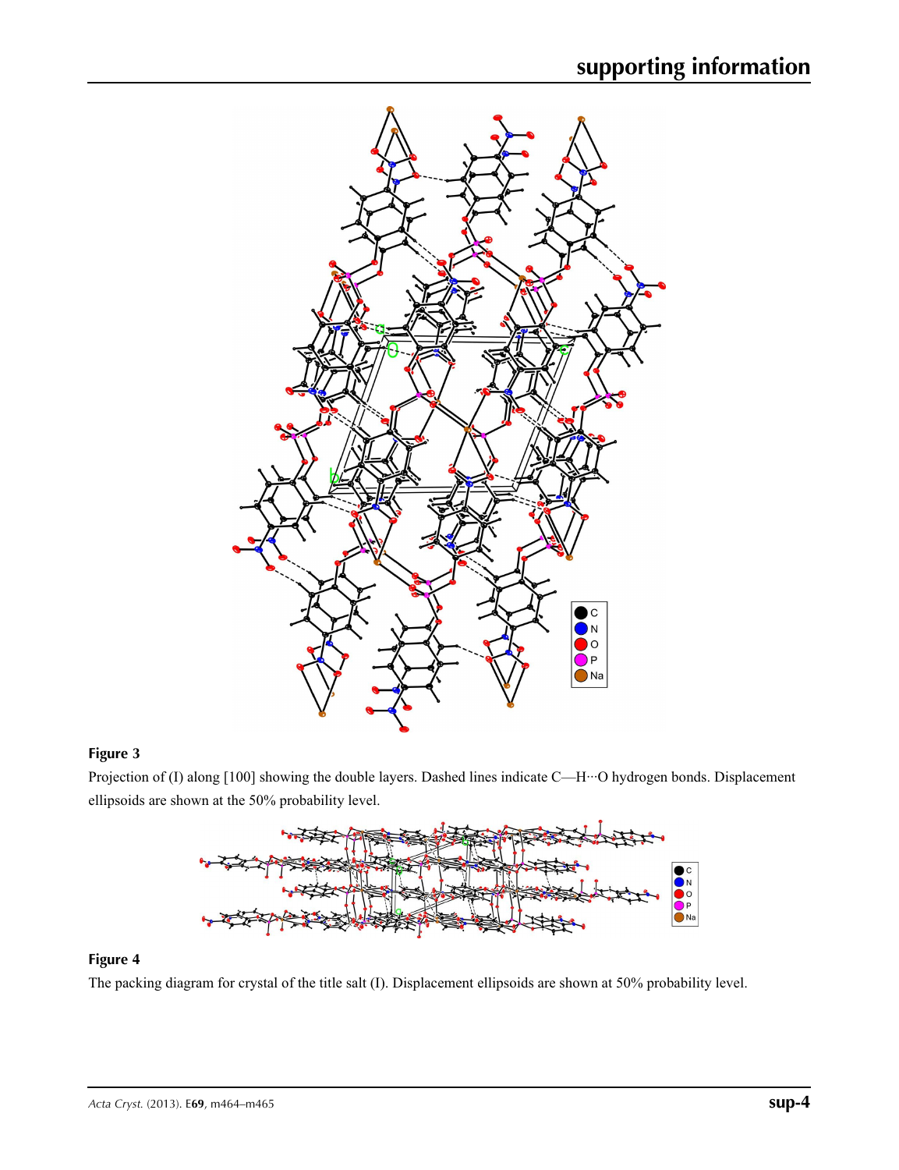

## **Figure 3**

Projection of (I) along [100] showing the double layers. Dashed lines indicate C—H···O hydrogen bonds. Displacement ellipsoids are shown at the 50% probability level.



#### **Figure 4**

The packing diagram for crystal of the title salt (I). Displacement ellipsoids are shown at 50% probability level.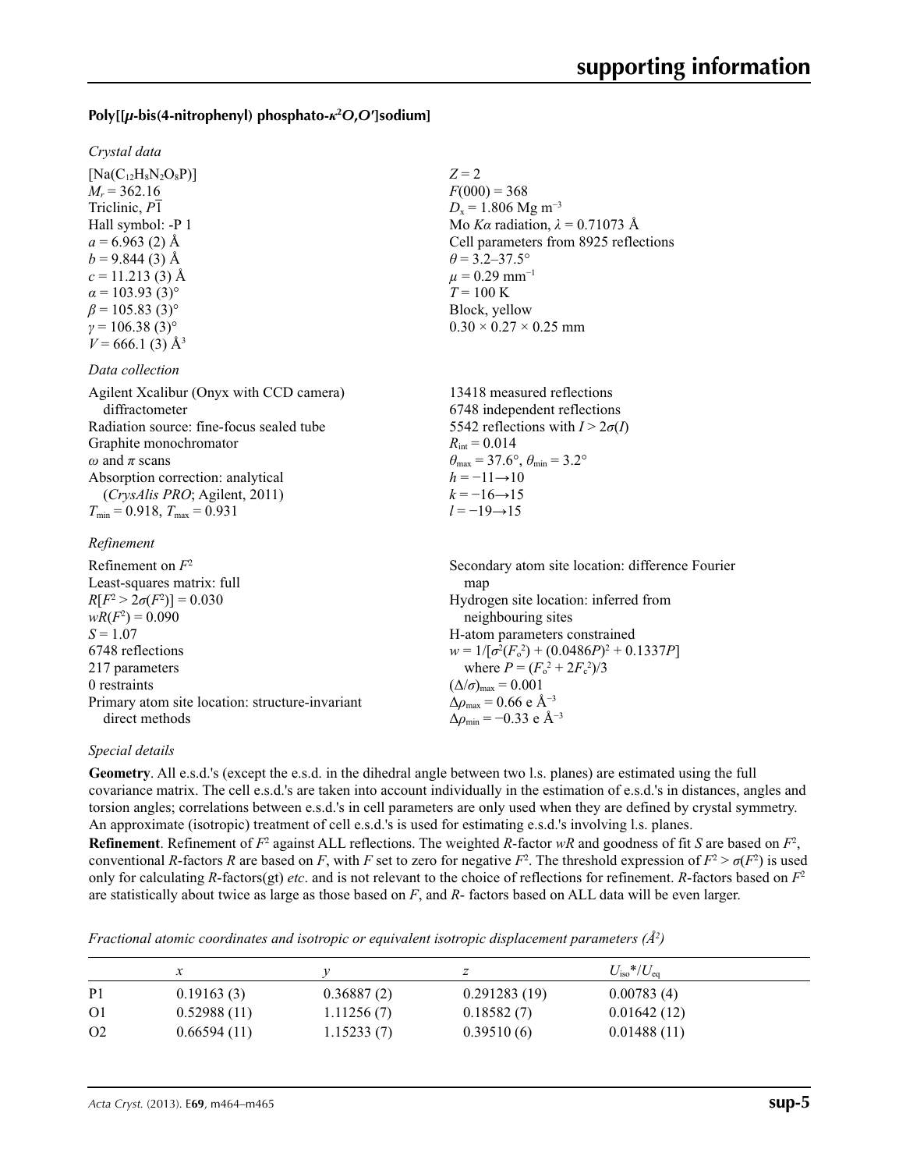## **Poly[[***µ***-bis(4-nitrophenyl) phosphato-***κ***<sup>2</sup>** *O***,***O***′]sodium]**

#### *Crystal data*

 $[Na(C_{12}H_8N_2O_8P)]$  $M_r = 362.16$ Triclinic, *P*1 Hall symbol: -P 1  $a = 6.963$  (2) Å  $b = 9.844(3)$  Å  $c = 11.213(3)$  Å  $\alpha$  = 103.93 (3)<sup>o</sup>  $\beta$  = 105.83 (3)<sup>o</sup>  $γ = 106.38(3)°$  $V = 666.1$  (3) Å<sup>3</sup>

#### *Data collection*

| Agilent Xcalibur (Onyx with CCD camera)  |
|------------------------------------------|
| diffractometer                           |
| Radiation source: fine-focus sealed tube |
| Graphite monochromator                   |
| $\omega$ and $\pi$ scans                 |
| Absorption correction: analytical        |
| (CrysAlis PRO; Agilent, 2011)            |
| $T_{\min}$ = 0.918, $T_{\max}$ = 0.931   |
|                                          |

#### *Refinement*

| Refinement on $F^2$                             | Secondary atom site location: difference Fourier   |
|-------------------------------------------------|----------------------------------------------------|
| Least-squares matrix: full                      | map                                                |
| $R[F^2 > 2\sigma(F^2)] = 0.030$                 | Hydrogen site location: inferred from              |
| $wR(F^2) = 0.090$                               | neighbouring sites                                 |
| $S = 1.07$                                      | H-atom parameters constrained                      |
| 6748 reflections                                | $w = 1/[\sigma^2(F_0^2) + (0.0486P)^2 + 0.1337P]$  |
| 217 parameters                                  | where $P = (F_0^2 + 2F_c^2)/3$                     |
| 0 restraints                                    | $(\Delta/\sigma)_{\text{max}} = 0.001$             |
| Primary atom site location: structure-invariant | $\Delta\rho_{\text{max}} = 0.66$ e Å <sup>-3</sup> |
| direct methods                                  | $\Delta \rho_{\rm min} = -0.33$ e Å <sup>-3</sup>  |

*Z* = 2

 $F(000) = 368$  $D_x = 1.806$  Mg m<sup>-3</sup>

 $\theta$  = 3.2–37.5°  $\mu$  = 0.29 mm<sup>-1</sup>  $T = 100 \text{ K}$ Block, yellow

 $R_{\text{int}} = 0.014$ 

 $h = -11 \rightarrow 10$  $k = -16 \rightarrow 15$  $l = -19 \rightarrow 15$ 

 $0.30 \times 0.27 \times 0.25$  mm

13418 measured reflections 6748 independent reflections 5542 reflections with  $I > 2\sigma(I)$ 

 $\theta_{\text{max}} = 37.6^{\circ}, \theta_{\text{min}} = 3.2^{\circ}$ 

Mo *Kα* radiation,  $\lambda = 0.71073$  Å Cell parameters from 8925 reflections

#### *Special details*

**Geometry**. All e.s.d.'s (except the e.s.d. in the dihedral angle between two l.s. planes) are estimated using the full covariance matrix. The cell e.s.d.'s are taken into account individually in the estimation of e.s.d.'s in distances, angles and torsion angles; correlations between e.s.d.'s in cell parameters are only used when they are defined by crystal symmetry. An approximate (isotropic) treatment of cell e.s.d.'s is used for estimating e.s.d.'s involving l.s. planes. **Refinement**. Refinement of  $F^2$  against ALL reflections. The weighted *R*-factor  $wR$  and goodness of fit *S* are based on  $F^2$ , conventional *R*-factors *R* are based on *F*, with *F* set to zero for negative  $F^2$ . The threshold expression of  $F^2 > \sigma(F^2)$  is used only for calculating *R*-factors(gt) *etc*. and is not relevant to the choice of reflections for refinement. *R*-factors based on *F*<sup>2</sup> are statistically about twice as large as those based on *F*, and *R*- factors based on ALL data will be even larger.

*Fractional atomic coordinates and isotropic or equivalent isotropic displacement parameters (Å<sup>2</sup>)* 

|                |             |            |              | $U_{\rm iso}$ */ $U_{\rm eq}$ |
|----------------|-------------|------------|--------------|-------------------------------|
| P <sub>1</sub> | 0.19163(3)  | 0.36887(2) | 0.291283(19) | 0.00783(4)                    |
| O <sub>1</sub> | 0.52988(11) | 1.11256(7) | 0.18582(7)   | 0.01642(12)                   |
| O <sub>2</sub> | 0.66594(11) | 1.15233(7) | 0.39510(6)   | 0.01488(11)                   |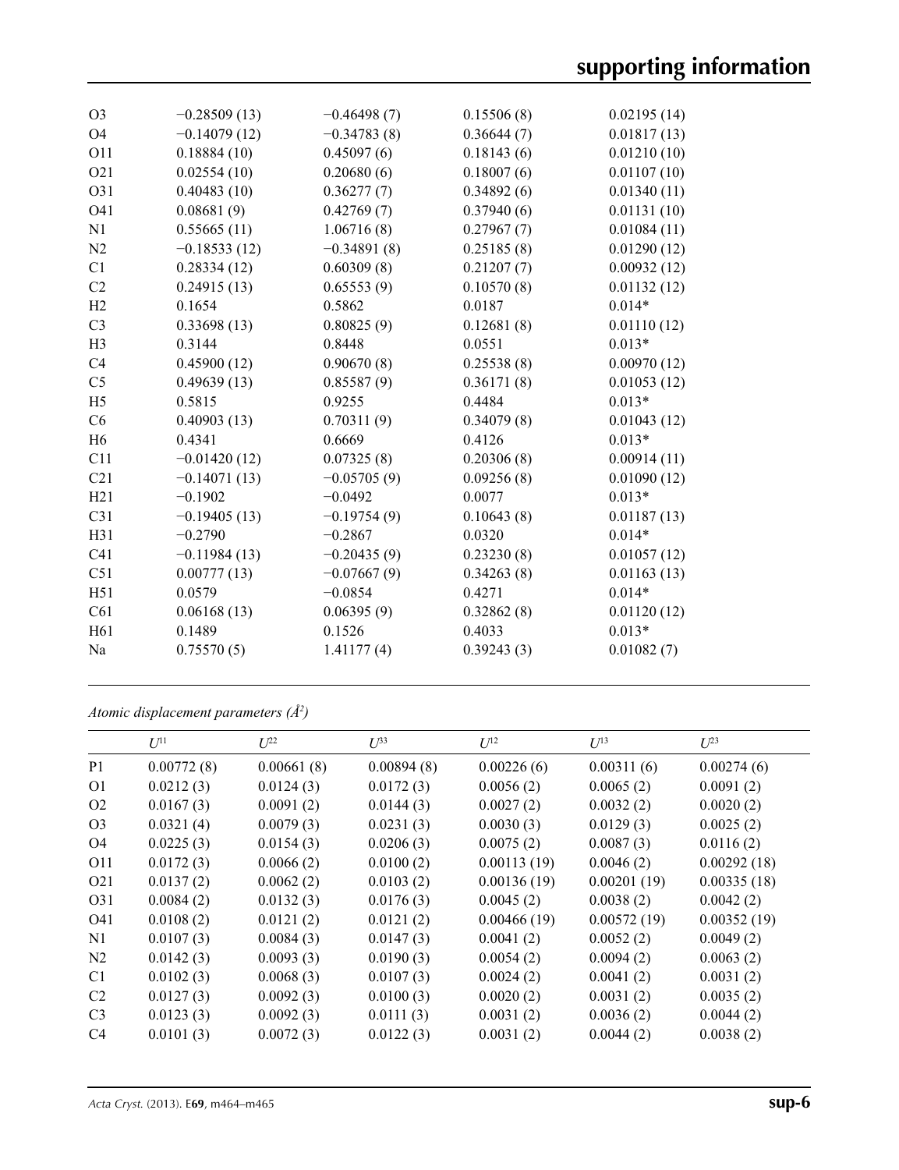| O <sub>3</sub>  | $-0.28509(13)$ | $-0.46498(7)$ | 0.15506(8) | 0.02195(14) |
|-----------------|----------------|---------------|------------|-------------|
| O4              | $-0.14079(12)$ | $-0.34783(8)$ | 0.36644(7) | 0.01817(13) |
| O11             | 0.18884(10)    | 0.45097(6)    | 0.18143(6) | 0.01210(10) |
| O <sub>21</sub> | 0.02554(10)    | 0.20680(6)    | 0.18007(6) | 0.01107(10) |
| O31             | 0.40483(10)    | 0.36277(7)    | 0.34892(6) | 0.01340(11) |
| O41             | 0.08681(9)     | 0.42769(7)    | 0.37940(6) | 0.01131(10) |
| N1              | 0.55665(11)    | 1.06716(8)    | 0.27967(7) | 0.01084(11) |
| N2              | $-0.18533(12)$ | $-0.34891(8)$ | 0.25185(8) | 0.01290(12) |
| C1              | 0.28334(12)    | 0.60309(8)    | 0.21207(7) | 0.00932(12) |
| C <sub>2</sub>  | 0.24915(13)    | 0.65553(9)    | 0.10570(8) | 0.01132(12) |
| H2              | 0.1654         | 0.5862        | 0.0187     | $0.014*$    |
| C <sub>3</sub>  | 0.33698(13)    | 0.80825(9)    | 0.12681(8) | 0.01110(12) |
| H <sub>3</sub>  | 0.3144         | 0.8448        | 0.0551     | $0.013*$    |
| C <sub>4</sub>  | 0.45900(12)    | 0.90670(8)    | 0.25538(8) | 0.00970(12) |
| C <sub>5</sub>  | 0.49639(13)    | 0.85587(9)    | 0.36171(8) | 0.01053(12) |
| H <sub>5</sub>  | 0.5815         | 0.9255        | 0.4484     | $0.013*$    |
| C6              | 0.40903(13)    | 0.70311(9)    | 0.34079(8) | 0.01043(12) |
| H <sub>6</sub>  | 0.4341         | 0.6669        | 0.4126     | $0.013*$    |
| C11             | $-0.01420(12)$ | 0.07325(8)    | 0.20306(8) | 0.00914(11) |
| C <sub>21</sub> | $-0.14071(13)$ | $-0.05705(9)$ | 0.09256(8) | 0.01090(12) |
| H21             | $-0.1902$      | $-0.0492$     | 0.0077     | $0.013*$    |
| C31             | $-0.19405(13)$ | $-0.19754(9)$ | 0.10643(8) | 0.01187(13) |
| H31             | $-0.2790$      | $-0.2867$     | 0.0320     | $0.014*$    |
| C <sub>41</sub> | $-0.11984(13)$ | $-0.20435(9)$ | 0.23230(8) | 0.01057(12) |
| C <sub>51</sub> | 0.00777(13)    | $-0.07667(9)$ | 0.34263(8) | 0.01163(13) |
| H51             | 0.0579         | $-0.0854$     | 0.4271     | $0.014*$    |
| C61             | 0.06168(13)    | 0.06395(9)    | 0.32862(8) | 0.01120(12) |
| H <sub>61</sub> | 0.1489         | 0.1526        | 0.4033     | $0.013*$    |
| Na              | 0.75570(5)     | 1.41177(4)    | 0.39243(3) | 0.01082(7)  |
|                 |                |               |            |             |

*Atomic displacement parameters (Å2 )*

|                  | $U^{11}$   | $L^{22}$   | $\mathcal{L}^{\beta 3}$ | $U^{12}$    | $U^{13}$    | $U^{23}$    |
|------------------|------------|------------|-------------------------|-------------|-------------|-------------|
| P <sub>1</sub>   | 0.00772(8) | 0.00661(8) | 0.00894(8)              | 0.00226(6)  | 0.00311(6)  | 0.00274(6)  |
| O <sub>1</sub>   | 0.0212(3)  | 0.0124(3)  | 0.0172(3)               | 0.0056(2)   | 0.0065(2)   | 0.0091(2)   |
| O <sub>2</sub>   | 0.0167(3)  | 0.0091(2)  | 0.0144(3)               | 0.0027(2)   | 0.0032(2)   | 0.0020(2)   |
| O <sub>3</sub>   | 0.0321(4)  | 0.0079(3)  | 0.0231(3)               | 0.0030(3)   | 0.0129(3)   | 0.0025(2)   |
| O <sub>4</sub>   | 0.0225(3)  | 0.0154(3)  | 0.0206(3)               | 0.0075(2)   | 0.0087(3)   | 0.0116(2)   |
| O11              | 0.0172(3)  | 0.0066(2)  | 0.0100(2)               | 0.00113(19) | 0.0046(2)   | 0.00292(18) |
| O <sub>2</sub> 1 | 0.0137(2)  | 0.0062(2)  | 0.0103(2)               | 0.00136(19) | 0.00201(19) | 0.00335(18) |
| O <sub>3</sub> 1 | 0.0084(2)  | 0.0132(3)  | 0.0176(3)               | 0.0045(2)   | 0.0038(2)   | 0.0042(2)   |
| O41              | 0.0108(2)  | 0.0121(2)  | 0.0121(2)               | 0.00466(19) | 0.00572(19) | 0.00352(19) |
| N1               | 0.0107(3)  | 0.0084(3)  | 0.0147(3)               | 0.0041(2)   | 0.0052(2)   | 0.0049(2)   |
| N2               | 0.0142(3)  | 0.0093(3)  | 0.0190(3)               | 0.0054(2)   | 0.0094(2)   | 0.0063(2)   |
| C <sub>1</sub>   | 0.0102(3)  | 0.0068(3)  | 0.0107(3)               | 0.0024(2)   | 0.0041(2)   | 0.0031(2)   |
| C <sub>2</sub>   | 0.0127(3)  | 0.0092(3)  | 0.0100(3)               | 0.0020(2)   | 0.0031(2)   | 0.0035(2)   |
| C <sub>3</sub>   | 0.0123(3)  | 0.0092(3)  | 0.0111(3)               | 0.0031(2)   | 0.0036(2)   | 0.0044(2)   |
| C <sub>4</sub>   | 0.0101(3)  | 0.0072(3)  | 0.0122(3)               | 0.0031(2)   | 0.0044(2)   | 0.0038(2)   |
|                  |            |            |                         |             |             |             |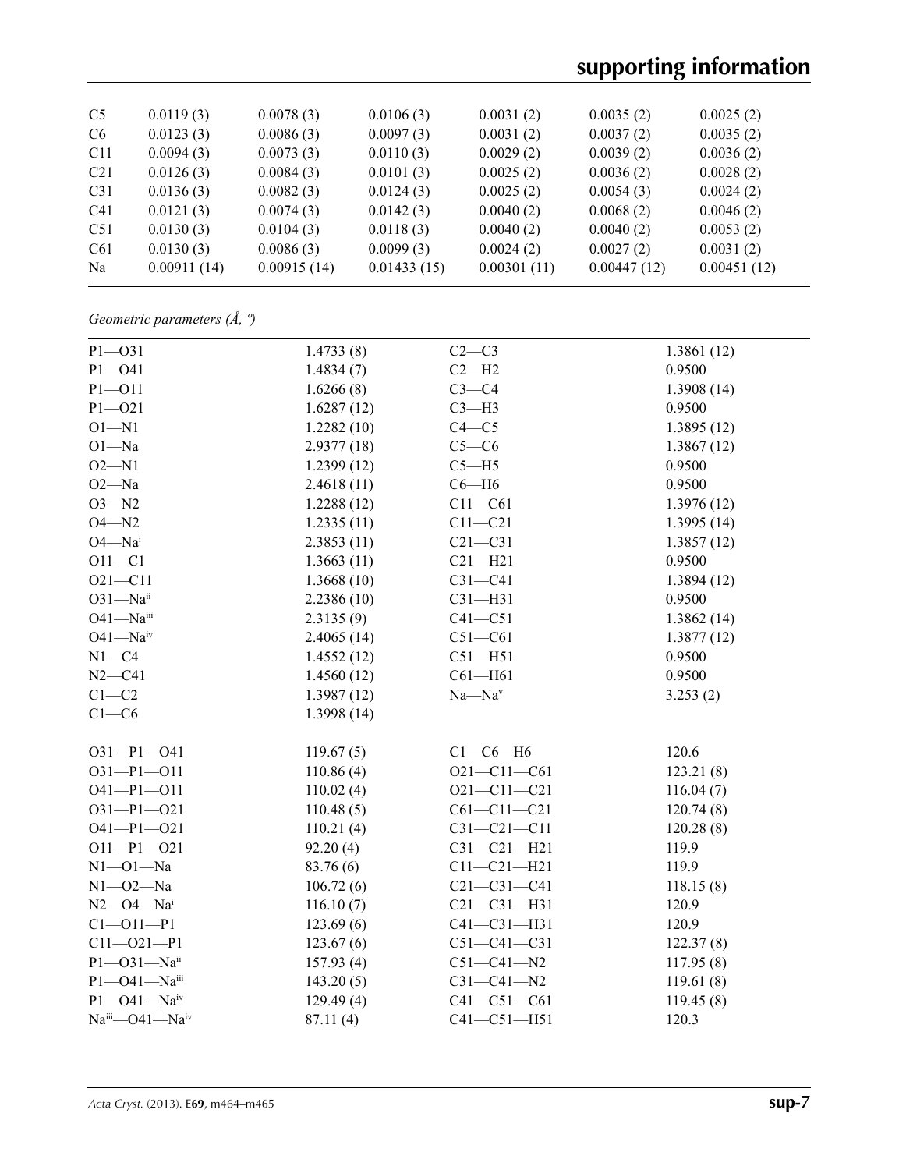# **supporting information**

| C <sub>5</sub>  | 0.0119(3)   | 0.0078(3)   | 0.0106(3)   | 0.0031(2)   | 0.0035(2)   | 0.0025(2)   |
|-----------------|-------------|-------------|-------------|-------------|-------------|-------------|
| C <sub>6</sub>  | 0.0123(3)   | 0.0086(3)   | 0.0097(3)   | 0.0031(2)   | 0.0037(2)   | 0.0035(2)   |
| C <sub>11</sub> | 0.0094(3)   | 0.0073(3)   | 0.0110(3)   | 0.0029(2)   | 0.0039(2)   | 0.0036(2)   |
| C <sub>21</sub> | 0.0126(3)   | 0.0084(3)   | 0.0101(3)   | 0.0025(2)   | 0.0036(2)   | 0.0028(2)   |
| C <sub>31</sub> | 0.0136(3)   | 0.0082(3)   | 0.0124(3)   | 0.0025(2)   | 0.0054(3)   | 0.0024(2)   |
| C <sub>41</sub> | 0.0121(3)   | 0.0074(3)   | 0.0142(3)   | 0.0040(2)   | 0.0068(2)   | 0.0046(2)   |
| C51             | 0.0130(3)   | 0.0104(3)   | 0.0118(3)   | 0.0040(2)   | 0.0040(2)   | 0.0053(2)   |
| C61             | 0.0130(3)   | 0.0086(3)   | 0.0099(3)   | 0.0024(2)   | 0.0027(2)   | 0.0031(2)   |
| Na              | 0.00911(14) | 0.00915(14) | 0.01433(15) | 0.00301(11) | 0.00447(12) | 0.00451(12) |
|                 |             |             |             |             |             |             |

*Geometric parameters (Å, º)*

| $P1 - O31$          | 1.4733(8)  | $C2-C3$           | 1.3861(12) |
|---------------------|------------|-------------------|------------|
| $P1 - O41$          | 1.4834(7)  | $C2-H2$           | 0.9500     |
| $P1 - 011$          | 1.6266(8)  | $C3-C4$           | 1.3908(14) |
| $P1 - O21$          | 1.6287(12) | $C3-H3$           | 0.9500     |
| $O1 - N1$           | 1.2282(10) | $C4 - C5$         | 1.3895(12) |
| $O1 - Na$           | 2.9377(18) | $C5-C6$           | 1.3867(12) |
| $O2 - N1$           | 1.2399(12) | $C5 - H5$         | 0.9500     |
| $O2 - Na$           | 2.4618(11) | $C6 - H6$         | 0.9500     |
| $O3 - N2$           | 1.2288(12) | $C11 - C61$       | 1.3976(12) |
| $O4 - N2$           | 1.2335(11) | $C11 - C21$       | 1.3995(14) |
| $O4 - Nai$          | 2.3853(11) | $C21 - C31$       | 1.3857(12) |
| $O11 - C1$          | 1.3663(11) | $C21 - H21$       | 0.9500     |
| $O21 - C11$         | 1.3668(10) | $C31-C41$         | 1.3894(12) |
| $O31 - Naii$        | 2.2386(10) | $C31 - H31$       | 0.9500     |
| O41-Naiii           | 2.3135(9)  | $C41 - C51$       | 1.3862(14) |
| $O41 - Naiv$        | 2.4065(14) | $C51-C61$         | 1.3877(12) |
| $N1 - C4$           | 1.4552(12) | $C51 - H51$       | 0.9500     |
| $N2 - C41$          | 1.4560(12) | $C61 - H61$       | 0.9500     |
| $C1-C2$             | 1.3987(12) | $Na - Nav$        | 3.253(2)   |
| $C1-C6$             | 1.3998(14) |                   |            |
| $O31 - P1 - O41$    | 119.67(5)  | $C1-C6-H6$        | 120.6      |
| $O31 - P1 - O11$    | 110.86(4)  | $O21 - C11 - C61$ | 123.21(8)  |
| $O41 - P1 - O11$    | 110.02(4)  | $O21 - C11 - C21$ | 116.04(7)  |
| $O31 - P1 - O21$    | 110.48(5)  | $C61 - C11 - C21$ | 120.74(8)  |
| $O41 - P1 - O21$    | 110.21(4)  | $C31 - C21 - C11$ | 120.28(8)  |
| $O11-P1-O21$        | 92.20(4)   | $C31 - C21 - H21$ | 119.9      |
| $N1 - 01 - Na$      | 83.76 (6)  | $C11 - C21 - H21$ | 119.9      |
| $N1 - 02 - Na$      | 106.72(6)  | $C21 - C31 - C41$ | 118.15(8)  |
| $N2$ — $O4$ — $Nai$ | 116.10(7)  | $C21 - C31 - H31$ | 120.9      |
| $C1 - 011 - P1$     | 123.69(6)  | $C41 - C31 - H31$ | 120.9      |
| $C11 - O21 - P1$    | 123.67(6)  | $C51 - C41 - C31$ | 122.37(8)  |
| $P1 - O31 - Naii$   | 157.93(4)  | $C51 - C41 - N2$  | 117.95(8)  |
| P1-041-Naiii        | 143.20(5)  | $C31 - C41 - N2$  | 119.61(8)  |
| $P1 - O41 - Naiv$   | 129.49(4)  | $C41 - C51 - C61$ | 119.45(8)  |
| Naiii-041-Naiv      | 87.11(4)   | $C41 - C51 - H51$ | 120.3      |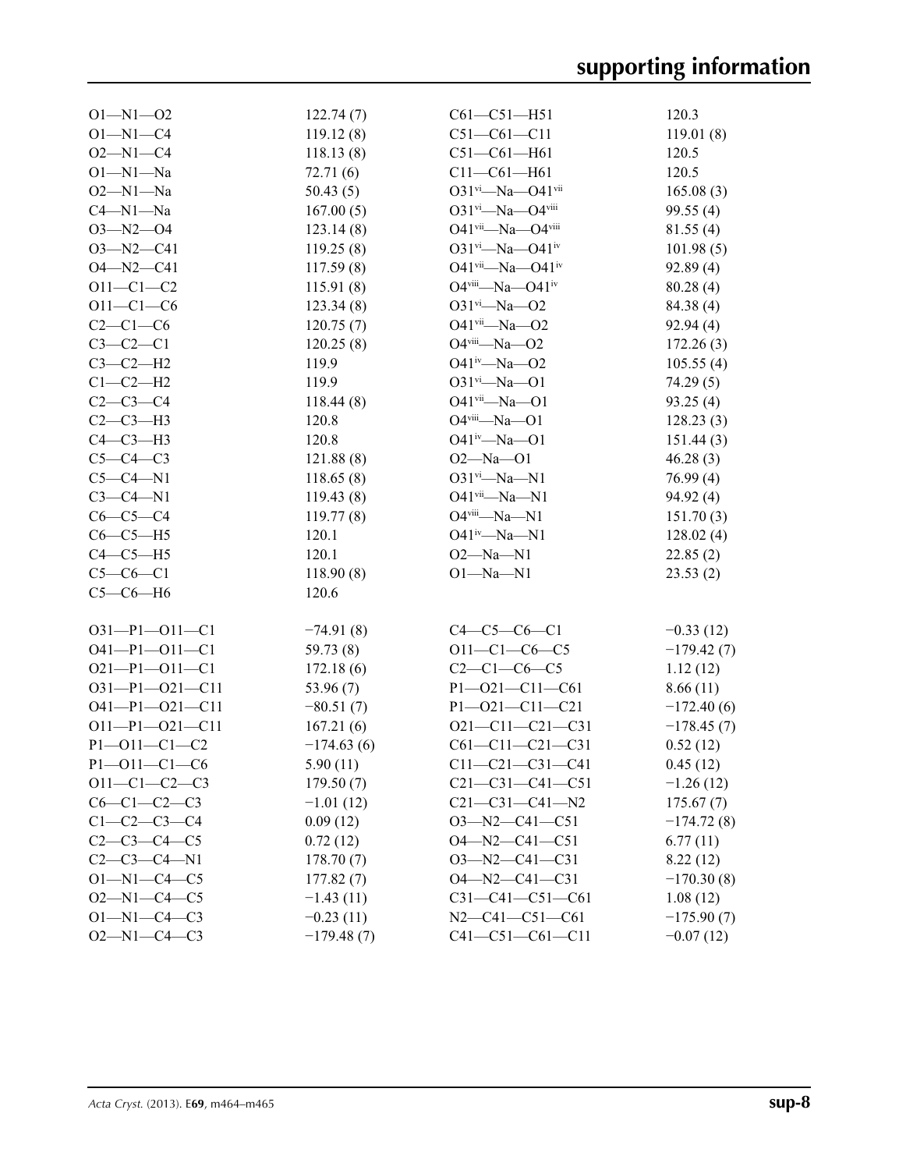| $O1 - N1 - O2$        | 122.74(7)    | $C61 - C51 - H51$                              | 120.3        |
|-----------------------|--------------|------------------------------------------------|--------------|
| $O1 - N1 - C4$        | 119.12(8)    | $C51 - C61 - C11$                              | 119.01(8)    |
| $O2 - N1 - C4$        | 118.13(8)    | $C51 - C61 - H61$                              | 120.5        |
| $O1 - N1 - Na$        | 72.71(6)     | $C11 - C61 - H61$                              | 120.5        |
| $O2 - N1 - Na$        | 50.43(5)     | 031vi-Na-041vii                                | 165.08(3)    |
| $C4 - N1 - Na$        | 167.00(5)    | $O31$ <sup>vi</sup> —Na—O4 <sup>viii</sup>     | 99.55(4)     |
| $O3 - N2 - O4$        | 123.14(8)    | $O41$ <sup>vii</sup> —Na— $O4$ <sup>viii</sup> | 81.55(4)     |
| $O3 - N2 - C41$       | 119.25(8)    | $O31$ <sup>vi</sup> —Na—O41 <sup>iv</sup>      | 101.98(5)    |
| $O4 - N2 - C41$       | 117.59(8)    | O41vii-Na-O41iv                                | 92.89(4)     |
| $O11 - C1 - C2$       | 115.91(8)    | $O4$ <sup>viii</sup> -Na- $O41$ <sup>iv</sup>  | 80.28(4)     |
| $O11 - C1 - C6$       | 123.34(8)    | $O31$ <sup>vi</sup> -Na- $O2$                  | 84.38 (4)    |
| $C2-C1-C6$            | 120.75(7)    | $O41$ <sup>vii</sup> —Na—O2                    | 92.94(4)     |
| $C3-C2-C1$            | 120.25(8)    | $O4$ <sup>viii</sup> -Na- $O2$                 | 172.26(3)    |
| $C3-C2-H2$            | 119.9        | O41iv-Na-O2                                    | 105.55(4)    |
| $C1-C2-H2$            | 119.9        | $O31^{vi} - Na - O1$                           | 74.29(5)     |
| $C2-C3-C4$            | 118.44(8)    | $O41$ <sup>vii</sup> -Na- $O1$                 | 93.25(4)     |
| $C2-C3-H3$            | 120.8        | O4viii-Na-O1                                   | 128.23(3)    |
| $C4-C3-H3$            | 120.8        | $O41^{iv} - Na - O1$                           | 151.44(3)    |
| $C5-C4-C3$            | 121.88(8)    | $O2 - Na - O1$                                 | 46.28(3)     |
| $C5-C4-N1$            | 118.65(8)    | $O31^{vi} - Na - N1$                           | 76.99(4)     |
| $C3-C4-N1$            | 119.43(8)    | $O41$ <sup>vii</sup> -Na-N1                    | 94.92(4)     |
| $C6-C5-C4$            | 119.77(8)    | $O4$ <sup>viii</sup> —Na—N1                    | 151.70(3)    |
| $C6-C5-H5$            | 120.1        | $O41^{iv}$ —Na—N1                              | 128.02(4)    |
| $C4-C5-H5$            | 120.1        | $O2 - Na - N1$                                 | 22.85(2)     |
| $C5-C6-C1$            | 118.90(8)    | $O1 - Na - N1$                                 | 23.53(2)     |
| $C5-C6-H6$            | 120.6        |                                                |              |
| $O31-P1-O11-C1$       | $-74.91(8)$  | $C4 - C5 - C6 - C1$                            | $-0.33(12)$  |
| $O41 - P1 - O11 - C1$ | 59.73(8)     | $O11 - C1 - C6 - C5$                           | $-179.42(7)$ |
| $O21-P1-O11-C1$       | 172.18(6)    | $C2-C1-C6-C5$                                  | 1.12(12)     |
| $O31-P1-O21-C11$      | 53.96 $(7)$  | $P1 - O21 - C11 - C61$                         | 8.66(11)     |
| $O41-P1-O21-C11$      | $-80.51(7)$  | $P1 - O21 - C11 - C21$                         | $-172.40(6)$ |
| $O11-P1-O21-C11$      | 167.21(6)    | $O21 - C11 - C21 - C31$                        | $-178.45(7)$ |
| $P1 - O11 - C1 - C2$  | $-174.63(6)$ | $C61 - C11 - C21 - C31$                        | 0.52(12)     |
| $P1 - 011 - C1 - C6$  | 5.90(11)     | $C11 - C21 - C31 - C41$                        | 0.45(12)     |
| $O11-C1-C2-C3$        | 179.50(7)    | $C21 - C31 - C41 - C51$                        | $-1.26(12)$  |
| $C6-C1-C2-C3$         | $-1.01(12)$  | $C21 - C31 - C41 - N2$                         | 175.67(7)    |
| $C1 - C2 - C3 - C4$   | 0.09(12)     | $O3 - N2 - C41 - C51$                          | $-174.72(8)$ |
| $C2-C3-C4-C5$         | 0.72(12)     | $O4 - N2 - C41 - C51$                          | 6.77(11)     |
| $C2-C3-C4-N1$         | 178.70(7)    | $O3 - N2 - C41 - C31$                          | 8.22(12)     |
| $O1 - N1 - C4 - C5$   | 177.82(7)    | $O4 - N2 - C41 - C31$                          | $-170.30(8)$ |
| $O2 - N1 - C4 - C5$   | $-1.43(11)$  | $C31-C41-C51-C61$                              | 1.08(12)     |
| $O1 - N1 - C4 - C3$   | $-0.23(11)$  | $N2-C41-C51-C61$                               | $-175.90(7)$ |
| $O2 - N1 - C4 - C3$   | $-179.48(7)$ | $C41 - C51 - C61 - C11$                        | $-0.07(12)$  |